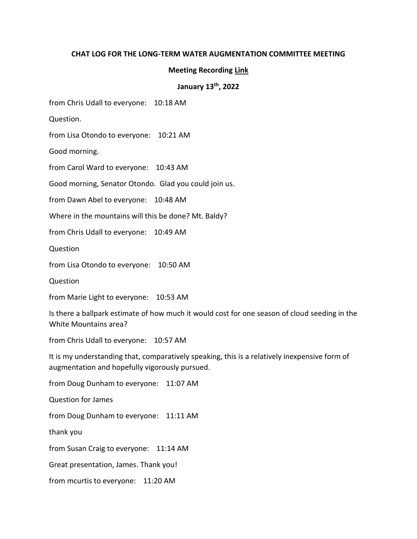## **CHAT LOG FOR THE LONG-TERM WATER AUGMENTATION COMMITTEE MEETING**

## **Meeting Recording [Link](https://www.youtube.com/watch?v=LQ6EIzaUItg)**

## **January 13th, 2022**

from Chris Udall to everyone: 10:18 AM

Question.

from Lisa Otondo to everyone: 10:21 AM

Good morning.

from Carol Ward to everyone: 10:43 AM

Good morning, Senator Otondo. Glad you could join us.

from Dawn Abel to everyone: 10:48 AM

Where in the mountains will this be done? Mt. Baldy?

from Chris Udall to everyone: 10:49 AM

Question

from Lisa Otondo to everyone: 10:50 AM

Question

from Marie Light to everyone: 10:53 AM

Is there a ballpark estimate of how much it would cost for one season of cloud seeding in the White Mountains area?

from Chris Udall to everyone: 10:57 AM

It is my understanding that, comparatively speaking, this is a relatively inexpensive form of augmentation and hopefully vigorously pursued.

from Doug Dunham to everyone: 11:07 AM Question for James from Doug Dunham to everyone: 11:11 AM thank you from Susan Craig to everyone: 11:14 AM Great presentation, James. Thank you! from mcurtis to everyone: 11:20 AM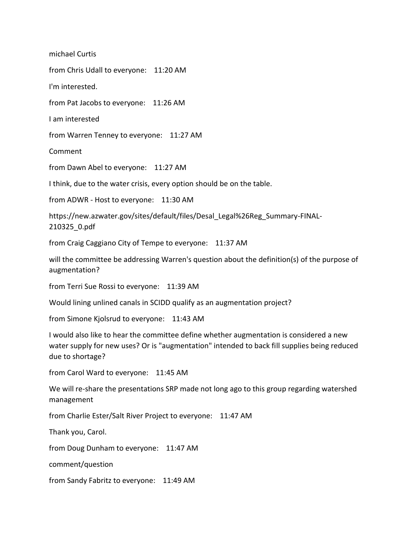michael Curtis

from Chris Udall to everyone: 11:20 AM

I'm interested.

from Pat Jacobs to everyone: 11:26 AM

I am interested

from Warren Tenney to everyone: 11:27 AM

Comment

from Dawn Abel to everyone: 11:27 AM

I think, due to the water crisis, every option should be on the table.

from ADWR - Host to everyone: 11:30 AM

https://new.azwater.gov/sites/default/files/Desal\_Legal%26Reg\_Summary-FINAL-210325\_0.pdf

from Craig Caggiano City of Tempe to everyone: 11:37 AM

will the committee be addressing Warren's question about the definition(s) of the purpose of augmentation?

from Terri Sue Rossi to everyone: 11:39 AM

Would lining unlined canals in SCIDD qualify as an augmentation project?

from Simone Kjolsrud to everyone: 11:43 AM

I would also like to hear the committee define whether augmentation is considered a new water supply for new uses? Or is "augmentation" intended to back fill supplies being reduced due to shortage?

from Carol Ward to everyone: 11:45 AM

We will re-share the presentations SRP made not long ago to this group regarding watershed management

from Charlie Ester/Salt River Project to everyone: 11:47 AM

Thank you, Carol.

from Doug Dunham to everyone: 11:47 AM

comment/question

from Sandy Fabritz to everyone: 11:49 AM